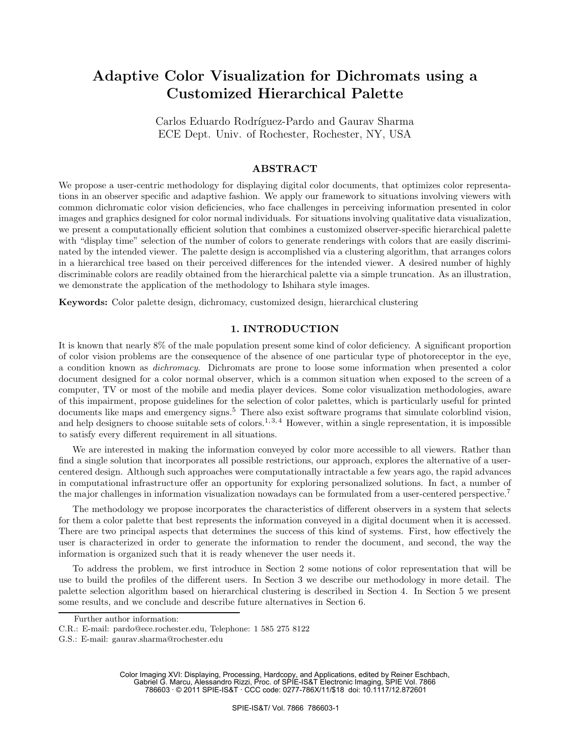# **Adaptive Color Visualization for Dichromats using a Customized Hierarchical Palette**

Carlos Eduardo Rodríguez-Pardo and Gaurav Sharma ECE Dept. Univ. of Rochester, Rochester, NY, USA

# **ABSTRACT**

We propose a user-centric methodology for displaying digital color documents, that optimizes color representations in an observer specific and adaptive fashion. We apply our framework to situations involving viewers with common dichromatic color vision deficiencies, who face challenges in perceiving information presented in color images and graphics designed for color normal individuals. For situations involving qualitative data visualization, we present a computationally efficient solution that combines a customized observer-specific hierarchical palette with "display time" selection of the number of colors to generate renderings with colors that are easily discriminated by the intended viewer. The palette design is accomplished via a clustering algorithm, that arranges colors in a hierarchical tree based on their perceived differences for the intended viewer. A desired number of highly discriminable colors are readily obtained from the hierarchical palette via a simple truncation. As an illustration, we demonstrate the application of the methodology to Ishihara style images.

**Keywords:** Color palette design, dichromacy, customized design, hierarchical clustering

## **1. INTRODUCTION**

It is known that nearly 8% of the male population present some kind of color deficiency. A significant proportion of color vision problems are the consequence of the absence of one particular type of photoreceptor in the eye, a condition known as *dichromacy*. Dichromats are prone to loose some information when presented a color document designed for a color normal observer, which is a common situation when exposed to the screen of a computer, TV or most of the mobile and media player devices. Some color visualization methodologies, aware of this impairment, propose guidelines for the selection of color palettes, which is particularly useful for printed documents like maps and emergency signs.<sup>5</sup> There also exist software programs that simulate colorblind vision, and help designers to choose suitable sets of colors.<sup>1, 3, 4</sup> However, within a single representation, it is impossible to satisfy every different requirement in all situations.

We are interested in making the information conveyed by color more accessible to all viewers. Rather than find a single solution that incorporates all possible restrictions, our approach, explores the alternative of a usercentered design. Although such approaches were computationally intractable a few years ago, the rapid advances in computational infrastructure offer an opportunity for exploring personalized solutions. In fact, a number of the major challenges in information visualization nowadays can be formulated from a user-centered perspective.<sup>7</sup>

The methodology we propose incorporates the characteristics of different observers in a system that selects for them a color palette that best represents the information conveyed in a digital document when it is accessed. There are two principal aspects that determines the success of this kind of systems. First, how effectively the user is characterized in order to generate the information to render the document, and second, the way the information is organized such that it is ready whenever the user needs it.

To address the problem, we first introduce in Section 2 some notions of color representation that will be use to build the profiles of the different users. In Section 3 we describe our methodology in more detail. The palette selection algorithm based on hierarchical clustering is described in Section 4. In Section 5 we present some results, and we conclude and describe future alternatives in Section 6.

Color Imaging XVI: Displaying, Processing, Hardcopy, and Applications, edited by Reiner Eschbach, Gabriel G. Marcu, Alessandro Rizzi, Proc. of SPIE-IS&T Electronic Imaging, SPIE Vol. 7866 786603 · © 2011 SPIE-IS&T · CCC code: 0277-786X/11/\$18 doi: 10.1117/12.872601

Further author information:

C.R.: E-mail: pardo@ece.rochester.edu, Telephone: 1 585 275 8122

G.S.: E-mail: gaurav.sharma@rochester.edu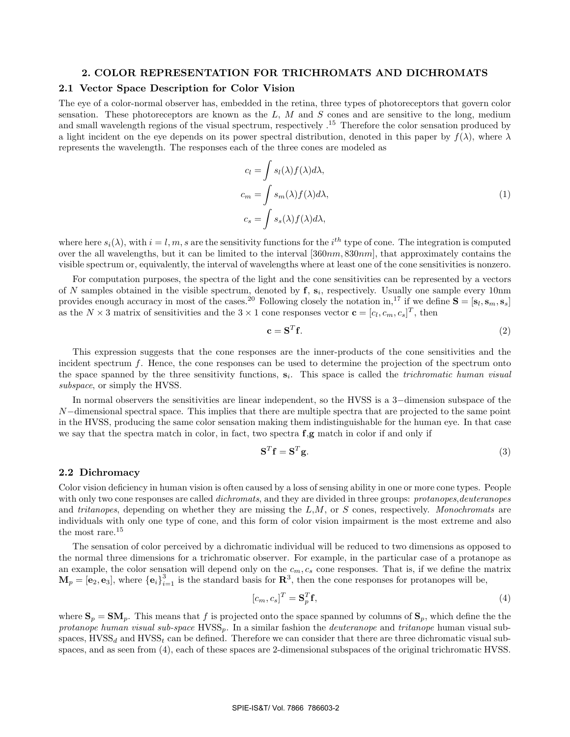#### **2. COLOR REPRESENTATION FOR TRICHROMATS AND DICHROMATS**

#### **2.1 Vector Space Description for Color Vision**

The eye of a color-normal observer has, embedded in the retina, three types of photoreceptors that govern color sensation. These photoreceptors are known as the L, M and S cones and are sensitive to the long, medium and small wavelength regions of the visual spectrum, respectively .<sup>15</sup> Therefore the color sensation produced by a light incident on the eye depends on its power spectral distribution, denoted in this paper by  $f(\lambda)$ , where  $\lambda$ represents the wavelength. The responses each of the three cones are modeled as

$$
c_l = \int s_l(\lambda) f(\lambda) d\lambda,
$$
  
\n
$$
c_m = \int s_m(\lambda) f(\lambda) d\lambda,
$$
  
\n
$$
c_s = \int s_s(\lambda) f(\lambda) d\lambda,
$$
\n(1)

where here  $s_i(\lambda)$ , with  $i = l, m, s$  are the sensitivity functions for the  $i^{th}$  type of cone. The integration is computed over the all wavelengths, but it can be limited to the interval  $[360nm, 830nm]$ , that approximately contains the visible spectrum or, equivalently, the interval of wavelengths where at least one of the cone sensitivities is nonzero.

For computation purposes, the spectra of the light and the cone sensitivities can be represented by a vectors of N samples obtained in the visible spectrum, denoted by **f**, **s***i*, respectively. Usually one sample every 10nm provides enough accuracy in most of the cases.<sup>20</sup> Following closely the notation in,<sup>17</sup> if we define  $S = [s_l, s_m, s_s]$ as the  $N \times 3$  matrix of sensitivities and the  $3 \times 1$  cone responses vector  $\mathbf{c} = [c_l, c_m, c_s]^T$ , then

$$
\mathbf{c} = \mathbf{S}^T \mathbf{f}.\tag{2}
$$

This expression suggests that the cone responses are the inner-products of the cone sensitivities and the incident spectrum  $f$ . Hence, the cone responses can be used to determine the projection of the spectrum onto the space spanned by the three sensitivity functions, **s***i*. This space is called the *trichromatic human visual subspace*, or simply the HVSS.

In normal observers the sensitivities are linear independent, so the HVSS is a 3−dimension subspace of the N−dimensional spectral space. This implies that there are multiple spectra that are projected to the same point in the HVSS, producing the same color sensation making them indistinguishable for the human eye. In that case we say that the spectra match in color, in fact, two spectra **f**,**g** match in color if and only if

$$
\mathbf{S}^T \mathbf{f} = \mathbf{S}^T \mathbf{g}.\tag{3}
$$

#### **2.2 Dichromacy**

Color vision deficiency in human vision is often caused by a loss of sensing ability in one or more cone types. People with only two cone responses are called *dichromats*, and they are divided in three groups: *protanopes*,*deuteranopes* and *tritanopes*, depending on whether they are missing the L,M, or S cones, respectively. *Monochromats* are individuals with only one type of cone, and this form of color vision impairment is the most extreme and also the most rare.<sup>15</sup>

The sensation of color perceived by a dichromatic individual will be reduced to two dimensions as opposed to the normal three dimensions for a trichromatic observer. For example, in the particular case of a protanope as an example, the color sensation will depend only on the  $c_m, c_s$  cone responses. That is, if we define the matrix  $\mathbf{M}_p = [\mathbf{e}_2, \mathbf{e}_3]$ , where  $\{\mathbf{e}_i\}_{i=1}^3$  is the standard basis for  $\mathbf{R}^3$ , then the cone responses for protanopes will be,

$$
[c_m, c_s]^T = \mathbf{S}_p^T \mathbf{f},\tag{4}
$$

where  $\mathbf{S}_p = \mathbf{S}\mathbf{M}_p$ . This means that f is projected onto the space spanned by columns of  $\mathbf{S}_p$ , which define the the *protanope human visual sub-space* HVSS*p*. In a similar fashion the *deuteranope* and *tritanope* human visual subspaces, HVSS*<sup>d</sup>* and HVSS*<sup>t</sup>* can be defined. Therefore we can consider that there are three dichromatic visual subspaces, and as seen from (4), each of these spaces are 2-dimensional subspaces of the original trichromatic HVSS.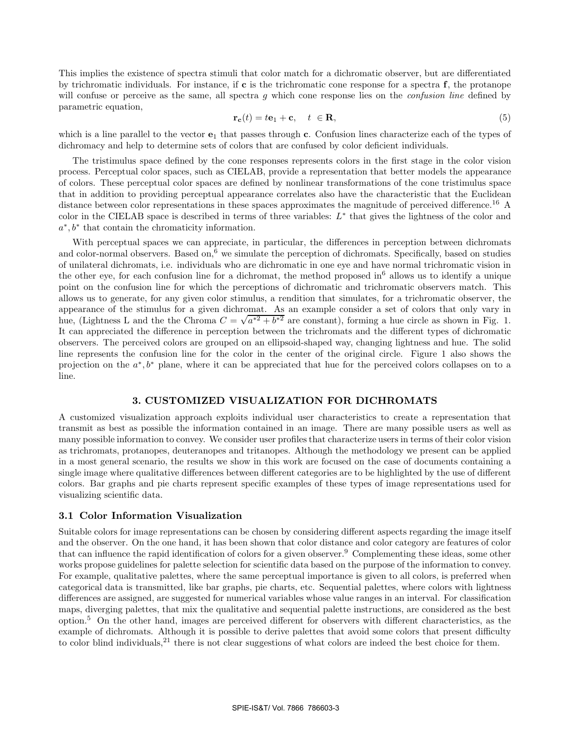This implies the existence of spectra stimuli that color match for a dichromatic observer, but are differentiated by trichromatic individuals. For instance, if **c** is the trichromatic cone response for a spectra **f**, the protanope will confuse or perceive as the same, all spectra g which cone response lies on the *confusion line* defined by parametric equation,

$$
\mathbf{r}_{\mathbf{c}}(t) = t\mathbf{e}_1 + \mathbf{c}, \quad t \in \mathbf{R}, \tag{5}
$$

which is a line parallel to the vector  $e_1$  that passes through **c**. Confusion lines characterize each of the types of dichromacy and help to determine sets of colors that are confused by color deficient individuals.

The tristimulus space defined by the cone responses represents colors in the first stage in the color vision process. Perceptual color spaces, such as CIELAB, provide a representation that better models the appearance of colors. These perceptual color spaces are defined by nonlinear transformations of the cone tristimulus space that in addition to providing perceptual appearance correlates also have the characteristic that the Euclidean distance between color representations in these spaces approximates the magnitude of perceived difference.<sup>16</sup> A color in the CIELAB space is described in terms of three variables: L<sup>∗</sup> that gives the lightness of the color and  $a^*, b^*$  that contain the chromaticity information.

With perceptual spaces we can appreciate, in particular, the differences in perception between dichromats and color-normal observers. Based on, $6 \text{ we simulate the perception of dichromats. Specifically, based on studies}$ of unilateral dichromats, i.e. individuals who are dichromatic in one eye and have normal trichromatic vision in the other eye, for each confusion line for a dichromat, the method proposed in<sup>6</sup> allows us to identify a unique point on the confusion line for which the perceptions of dichromatic and trichromatic observers match. This allows us to generate, for any given color stimulus, a rendition that simulates, for a trichromatic observer, the appearance of the stimulus for a given dichromat. As an example consider a set of colors that only vary in hue, (Lightness L and the the Chroma  $C = \sqrt{a^{*2} + b^{*2}}$  are constant), forming a hue circle as shown in Fig. 1. It can appreciated the difference in perception between the trichromats and the different types of dichromatic observers. The perceived colors are grouped on an ellipsoid-shaped way, changing lightness and hue. The solid line represents the confusion line for the color in the center of the original circle. Figure 1 also shows the projection on the  $a^*, b^*$  plane, where it can be appreciated that hue for the perceived colors collapses on to a line.

## **3. CUSTOMIZED VISUALIZATION FOR DICHROMATS**

A customized visualization approach exploits individual user characteristics to create a representation that transmit as best as possible the information contained in an image. There are many possible users as well as many possible information to convey. We consider user profiles that characterize users in terms of their color vision as trichromats, protanopes, deuteranopes and tritanopes. Although the methodology we present can be applied in a most general scenario, the results we show in this work are focused on the case of documents containing a single image where qualitative differences between different categories are to be highlighted by the use of different colors. Bar graphs and pie charts represent specific examples of these types of image representations used for visualizing scientific data.

#### **3.1 Color Information Visualization**

Suitable colors for image representations can be chosen by considering different aspects regarding the image itself and the observer. On the one hand, it has been shown that color distance and color category are features of color that can influence the rapid identification of colors for a given observer.<sup>9</sup> Complementing these ideas, some other works propose guidelines for palette selection for scientific data based on the purpose of the information to convey. For example, qualitative palettes, where the same perceptual importance is given to all colors, is preferred when categorical data is transmitted, like bar graphs, pie charts, etc. Sequential palettes, where colors with lightness differences are assigned, are suggested for numerical variables whose value ranges in an interval. For classification maps, diverging palettes, that mix the qualitative and sequential palette instructions, are considered as the best option.<sup>5</sup> On the other hand, images are perceived different for observers with different characteristics, as the example of dichromats. Although it is possible to derive palettes that avoid some colors that present difficulty to color blind individuals,  $2<sup>1</sup>$  there is not clear suggestions of what colors are indeed the best choice for them.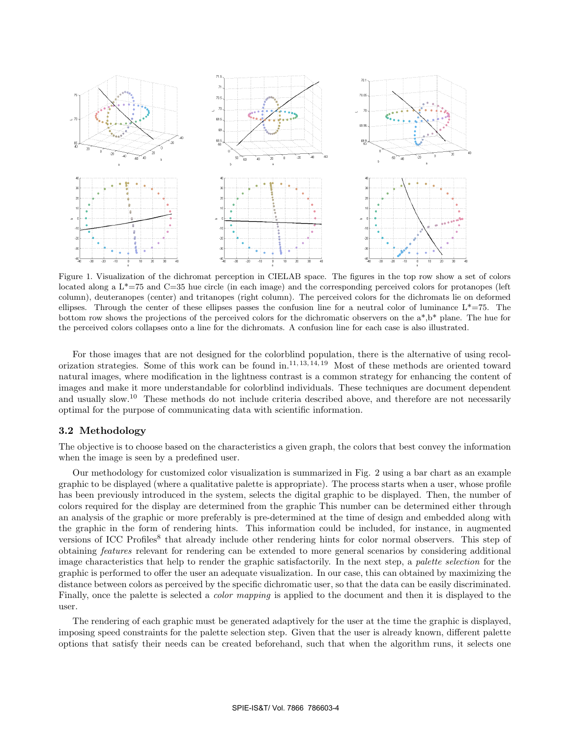

Figure 1. Visualization of the dichromat perception in CIELAB space. The figures in the top row show a set of colors located along a L\*=75 and C=35 hue circle (in each image) and the corresponding perceived colors for protanopes (left column), deuteranopes (center) and tritanopes (right column). The perceived colors for the dichromats lie on deformed ellipses. Through the center of these ellipses passes the confusion line for a neutral color of luminance  $L^*=75$ . The bottom row shows the projections of the perceived colors for the dichromatic observers on the a\*,b\* plane. The hue for the perceived colors collapses onto a line for the dichromats. A confusion line for each case is also illustrated.

For those images that are not designed for the colorblind population, there is the alternative of using recolorization strategies. Some of this work can be found in.<sup>11, 13, 14, 19</sup> Most of these methods are oriented toward natural images, where modification in the lightness contrast is a common strategy for enhancing the content of images and make it more understandable for colorblind individuals. These techniques are document dependent and usually slow.<sup>10</sup> These methods do not include criteria described above, and therefore are not necessarily optimal for the purpose of communicating data with scientific information.

## **3.2 Methodology**

The objective is to choose based on the characteristics a given graph, the colors that best convey the information when the image is seen by a predefined user.

Our methodology for customized color visualization is summarized in Fig. 2 using a bar chart as an example graphic to be displayed (where a qualitative palette is appropriate). The process starts when a user, whose profile has been previously introduced in the system, selects the digital graphic to be displayed. Then, the number of colors required for the display are determined from the graphic This number can be determined either through an analysis of the graphic or more preferably is pre-determined at the time of design and embedded along with the graphic in the form of rendering hints. This information could be included, for instance, in augmented versions of ICC Profiles<sup>8</sup> that already include other rendering hints for color normal observers. This step of obtaining *features* relevant for rendering can be extended to more general scenarios by considering additional image characteristics that help to render the graphic satisfactorily. In the next step, a *palette selection* for the graphic is performed to offer the user an adequate visualization. In our case, this can obtained by maximizing the distance between colors as perceived by the specific dichromatic user, so that the data can be easily discriminated. Finally, once the palette is selected a *color mapping* is applied to the document and then it is displayed to the user.

The rendering of each graphic must be generated adaptively for the user at the time the graphic is displayed, imposing speed constraints for the palette selection step. Given that the user is already known, different palette options that satisfy their needs can be created beforehand, such that when the algorithm runs, it selects one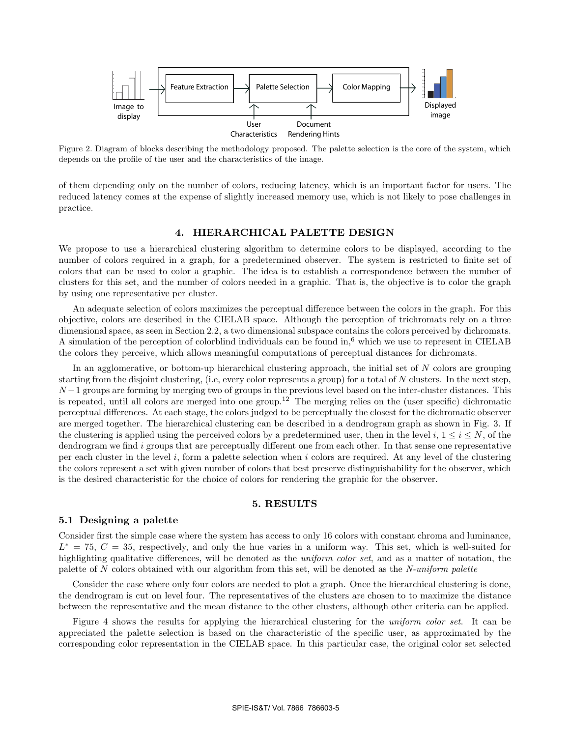

Figure 2. Diagram of blocks describing the methodology proposed. The palette selection is the core of the system, which depends on the profile of the user and the characteristics of the image.

of them depending only on the number of colors, reducing latency, which is an important factor for users. The reduced latency comes at the expense of slightly increased memory use, which is not likely to pose challenges in practice.

### **4. HIERARCHICAL PALETTE DESIGN**

We propose to use a hierarchical clustering algorithm to determine colors to be displayed, according to the number of colors required in a graph, for a predetermined observer. The system is restricted to finite set of colors that can be used to color a graphic. The idea is to establish a correspondence between the number of clusters for this set, and the number of colors needed in a graphic. That is, the objective is to color the graph by using one representative per cluster.

An adequate selection of colors maximizes the perceptual difference between the colors in the graph. For this objective, colors are described in the CIELAB space. Although the perception of trichromats rely on a three dimensional space, as seen in Section 2.2, a two dimensional subspace contains the colors perceived by dichromats. A simulation of the perception of colorblind individuals can be found in,<sup>6</sup> which we use to represent in CIELAB the colors they perceive, which allows meaningful computations of perceptual distances for dichromats.

In an agglomerative, or bottom-up hierarchical clustering approach, the initial set of N colors are grouping starting from the disjoint clustering, (i.e, every color represents a group) for a total of N clusters. In the next step,  $N-1$  groups are forming by merging two of groups in the previous level based on the inter-cluster distances. This is repeated, until all colors are merged into one group.<sup>12</sup> The merging relies on the (user specific) dichromatic perceptual differences. At each stage, the colors judged to be perceptually the closest for the dichromatic observer are merged together. The hierarchical clustering can be described in a dendrogram graph as shown in Fig. 3. If the clustering is applied using the perceived colors by a predetermined user, then in the level i,  $1 \le i \le N$ , of the dendrogram we find i groups that are perceptually different one from each other. In that sense one representative per each cluster in the level i, form a palette selection when i colors are required. At any level of the clustering the colors represent a set with given number of colors that best preserve distinguishability for the observer, which is the desired characteristic for the choice of colors for rendering the graphic for the observer.

#### **5. RESULTS**

#### **5.1 Designing a palette**

Consider first the simple case where the system has access to only 16 colors with constant chroma and luminance,  $L^* = 75$ ,  $C = 35$ , respectively, and only the hue varies in a uniform way. This set, which is well-suited for highlighting qualitative differences, will be denoted as the *uniform color set*, and as a matter of notation, the palette of N colors obtained with our algorithm from this set, will be denoted as the *N-uniform palette*

Consider the case where only four colors are needed to plot a graph. Once the hierarchical clustering is done, the dendrogram is cut on level four. The representatives of the clusters are chosen to to maximize the distance between the representative and the mean distance to the other clusters, although other criteria can be applied.

Figure 4 shows the results for applying the hierarchical clustering for the *uniform color set*. It can be appreciated the palette selection is based on the characteristic of the specific user, as approximated by the corresponding color representation in the CIELAB space. In this particular case, the original color set selected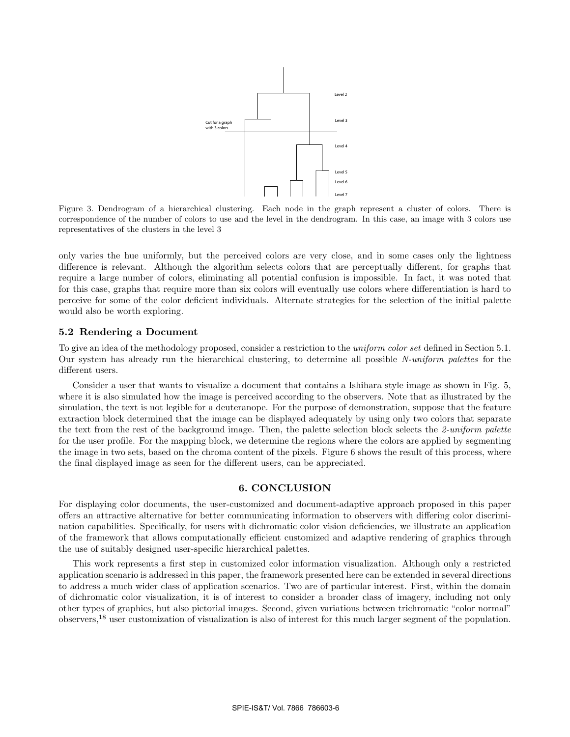

Figure 3. Dendrogram of a hierarchical clustering. Each node in the graph represent a cluster of colors. There is correspondence of the number of colors to use and the level in the dendrogram. In this case, an image with 3 colors use representatives of the clusters in the level 3

only varies the hue uniformly, but the perceived colors are very close, and in some cases only the lightness difference is relevant. Although the algorithm selects colors that are perceptually different, for graphs that require a large number of colors, eliminating all potential confusion is impossible. In fact, it was noted that for this case, graphs that require more than six colors will eventually use colors where differentiation is hard to perceive for some of the color deficient individuals. Alternate strategies for the selection of the initial palette would also be worth exploring.

# **5.2 Rendering a Document**

To give an idea of the methodology proposed, consider a restriction to the *uniform color set* defined in Section 5.1. Our system has already run the hierarchical clustering, to determine all possible *N-uniform palettes* for the different users.

Consider a user that wants to visualize a document that contains a Ishihara style image as shown in Fig. 5, where it is also simulated how the image is perceived according to the observers. Note that as illustrated by the simulation, the text is not legible for a deuteranope. For the purpose of demonstration, suppose that the feature extraction block determined that the image can be displayed adequately by using only two colors that separate the text from the rest of the background image. Then, the palette selection block selects the *2-uniform palette* for the user profile. For the mapping block, we determine the regions where the colors are applied by segmenting the image in two sets, based on the chroma content of the pixels. Figure 6 shows the result of this process, where the final displayed image as seen for the different users, can be appreciated.

#### **6. CONCLUSION**

For displaying color documents, the user-customized and document-adaptive approach proposed in this paper offers an attractive alternative for better communicating information to observers with differing color discrimination capabilities. Specifically, for users with dichromatic color vision deficiencies, we illustrate an application of the framework that allows computationally efficient customized and adaptive rendering of graphics through the use of suitably designed user-specific hierarchical palettes.

This work represents a first step in customized color information visualization. Although only a restricted application scenario is addressed in this paper, the framework presented here can be extended in several directions to address a much wider class of application scenarios. Two are of particular interest. First, within the domain of dichromatic color visualization, it is of interest to consider a broader class of imagery, including not only other types of graphics, but also pictorial images. Second, given variations between trichromatic "color normal" observers,<sup>18</sup> user customization of visualization is also of interest for this much larger segment of the population.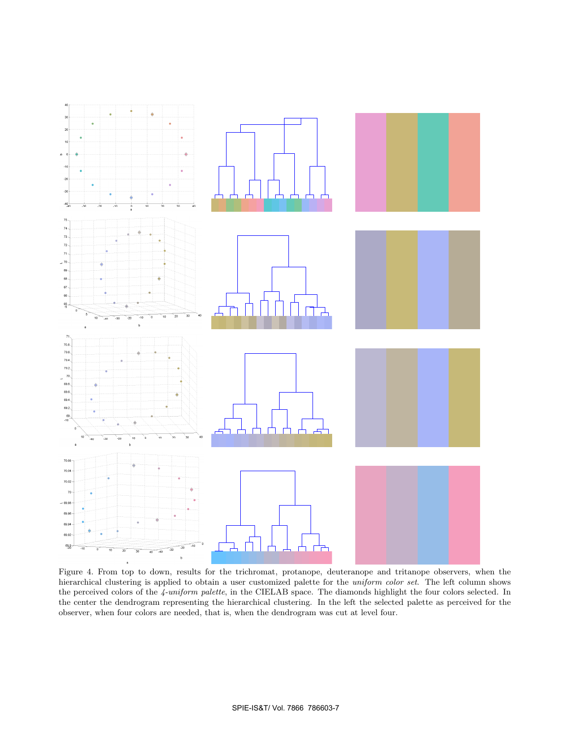

Figure 4. From top to down, results for the trichromat, protanope, deuteranope and tritanope observers, when the hierarchical clustering is applied to obtain a user customized palette for the *uniform color set*. The left column shows the perceived colors of the *4-uniform palette*, in the CIELAB space. The diamonds highlight the four colors selected. In the center the dendrogram representing the hierarchical clustering. In the left the selected palette as perceived for the observer, when four colors are needed, that is, when the dendrogram was cut at level four.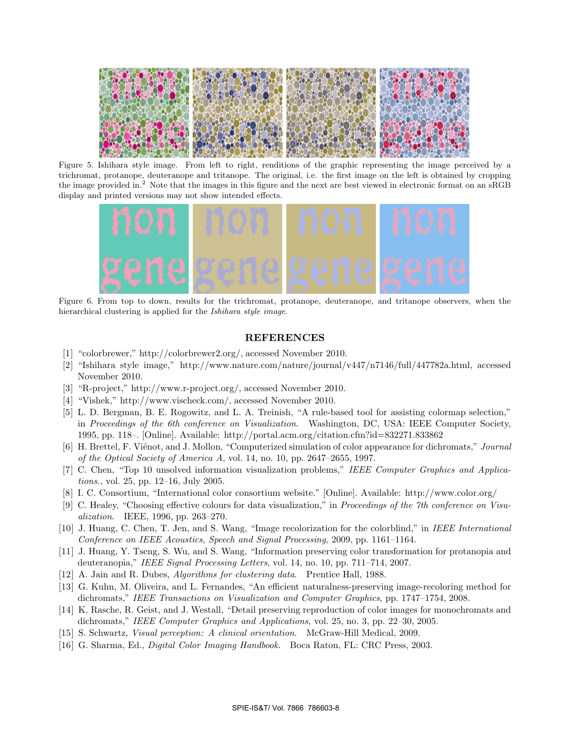

Figure 5. Ishihara style image. From left to right, renditions of the graphic representing the image perceived by a trichromat, protanope, deuteranope and tritanope. The original, i.e. the first image on the left is obtained by cropping the image provided in.<sup>2</sup> Note that the images in this figure and the next are best viewed in electronic format on an sRGB display and printed versions may not show intended effects.



Figure 6. From top to down, results for the trichromat, protanope, deuteranope, and tritanope observers, when the hierarchical clustering is applied for the *Ishihara style image*.

## **REFERENCES**

- [1] "colorbrewer," http://colorbrewer2.org/, accessed November 2010.
- [2] "Ishihara style image," http://www.nature.com/nature/journal/v447/n7146/full/447782a.html, accessed November 2010.
- [3] "R-project," http://www.r-project.org/, accessed November 2010.
- [4] "Vishek," http://www.vischeck.com/, accessed November 2010.
- [5] L. D. Bergman, B. E. Rogowitz, and L. A. Treinish, "A rule-based tool for assisting colormap selection," in *Proceedings of the 6th conference on Visualization*. Washington, DC, USA: IEEE Computer Society, 1995, pp. 118–. [Online]. Available: http://portal.acm.org/citation.cfm?id=832271.833862
- [6] H. Brettel, F. Vi´enot, and J. Mollon, "Computerized simulation of color appearance for dichromats," *Journal of the Optical Society of America A*, vol. 14, no. 10, pp. 2647–2655, 1997.
- [7] C. Chen, "Top 10 unsolved information visualization problems," *IEEE Computer Graphics and Applications.*, vol. 25, pp. 12–16, July 2005.
- [8] I. C. Consortium, "International color consortium website." [Online]. Available: http://www.color.org/
- [9] C. Healey, "Choosing effective colours for data visualization," in *Proceedings of the 7th conference on Visualization*. IEEE, 1996, pp. 263–270.
- [10] J. Huang, C. Chen, T. Jen, and S. Wang, "Image recolorization for the colorblind," in *IEEE International Conference on IEEE Acoustics, Speech and Signal Processing*, 2009, pp. 1161–1164.
- [11] J. Huang, Y. Tseng, S. Wu, and S. Wang, "Information preserving color transformation for protanopia and deuteranopia," *IEEE Signal Processing Letters*, vol. 14, no. 10, pp. 711–714, 2007.
- [12] A. Jain and R. Dubes, *Algorithms for clustering data*. Prentice Hall, 1988.
- [13] G. Kuhn, M. Oliveira, and L. Fernandes, "An efficient naturalness-preserving image-recoloring method for dichromats," *IEEE Transactions on Visualization and Computer Graphics*, pp. 1747–1754, 2008.
- [14] K. Rasche, R. Geist, and J. Westall, "Detail preserving reproduction of color images for monochromats and dichromats," *IEEE Computer Graphics and Applications*, vol. 25, no. 3, pp. 22–30, 2005.
- [15] S. Schwartz, *Visual perception: A clinical orientation*. McGraw-Hill Medical, 2009.
- [16] G. Sharma, Ed., *Digital Color Imaging Handbook*. Boca Raton, FL: CRC Press, 2003.